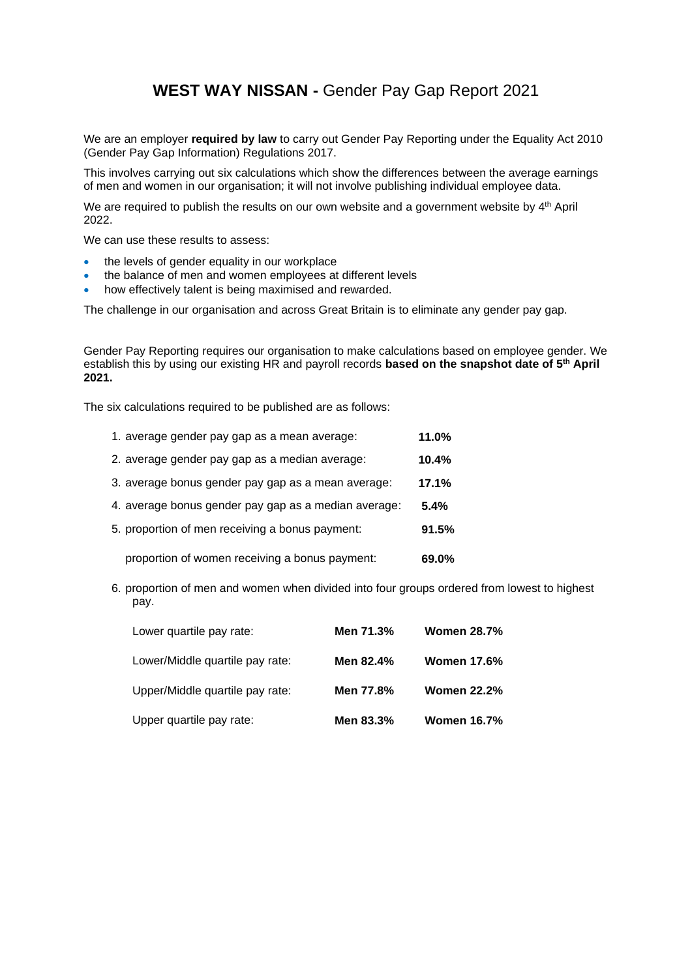## **WEST WAY NISSAN -** Gender Pay Gap Report 2021

We are an employer **required by law** to carry out Gender Pay Reporting under the Equality Act 2010 (Gender Pay Gap Information) Regulations 2017.

This involves carrying out six calculations which show the differences between the average earnings of men and women in our organisation; it will not involve publishing individual employee data.

We are required to publish the results on our own website and a government website by 4<sup>th</sup> April 2022.

We can use these results to assess:

- the levels of gender equality in our workplace
- the balance of men and women employees at different levels
- how effectively talent is being maximised and rewarded.

The challenge in our organisation and across Great Britain is to eliminate any gender pay gap.

Gender Pay Reporting requires our organisation to make calculations based on employee gender. We establish this by using our existing HR and payroll records **based on the snapshot date of 5th April 2021.**

The six calculations required to be published are as follows:

| 1. average gender pay gap as a mean average:         | 11.0%   |
|------------------------------------------------------|---------|
| 2. average gender pay gap as a median average:       | 10.4%   |
| 3. average bonus gender pay gap as a mean average:   | 17.1%   |
| 4. average bonus gender pay gap as a median average: | $5.4\%$ |
| 5. proportion of men receiving a bonus payment:      | 91.5%   |
| proportion of women receiving a bonus payment:       | 69.0%   |

6. proportion of men and women when divided into four groups ordered from lowest to highest pay.

| Lower quartile pay rate:        | Men 71.3% | <b>Women 28.7%</b> |
|---------------------------------|-----------|--------------------|
| Lower/Middle quartile pay rate: | Men 82.4% | <b>Women 17.6%</b> |
| Upper/Middle quartile pay rate: | Men 77.8% | <b>Women 22.2%</b> |
| Upper quartile pay rate:        | Men 83.3% | <b>Women 16.7%</b> |